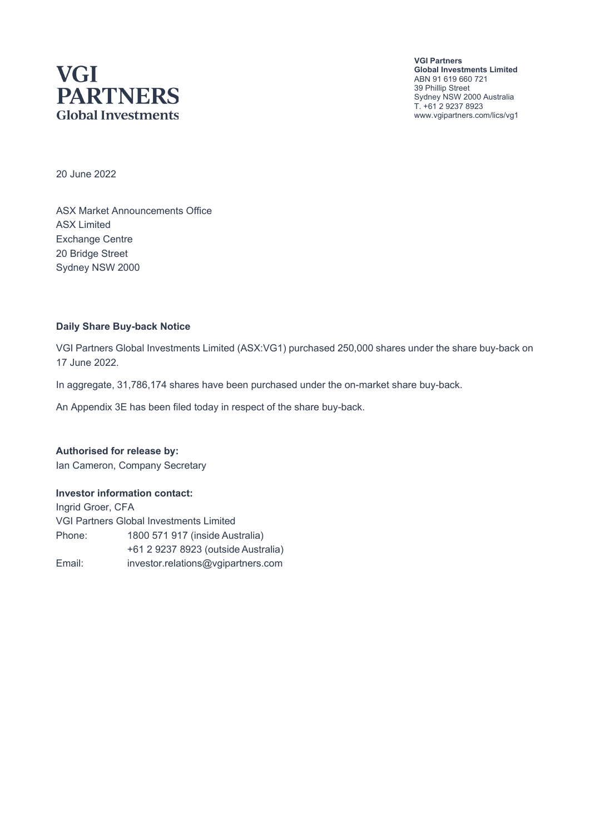## **VGI PARTNERS Global Investments**

**VGI Partners Global Investments Limited** ABN 91 619 660 721 39 Phillip Street Sydney NSW 2000 Australia T. +61 2 9237 8923 www.vgipartners.com/lics/vg1

20 June 2022

ASX Market Announcements Office ASX Limited Exchange Centre 20 Bridge Street Sydney NSW 2000

#### **Daily Share Buy-back Notice**

VGI Partners Global Investments Limited (ASX:VG1) purchased 250,000 shares under the share buy-back on 17 June 2022.

In aggregate, 31,786,174 shares have been purchased under the on-market share buy-back.

An Appendix 3E has been filed today in respect of the share buy-back.

**Authorised for release by:** Ian Cameron, Company Secretary

#### **Investor information contact:**

Ingrid Groer, CFA VGI Partners Global Investments Limited Phone: 1800 571 917 (inside Australia) +61 2 9237 8923 (outside Australia) Email: investor.relations@vgipartners.com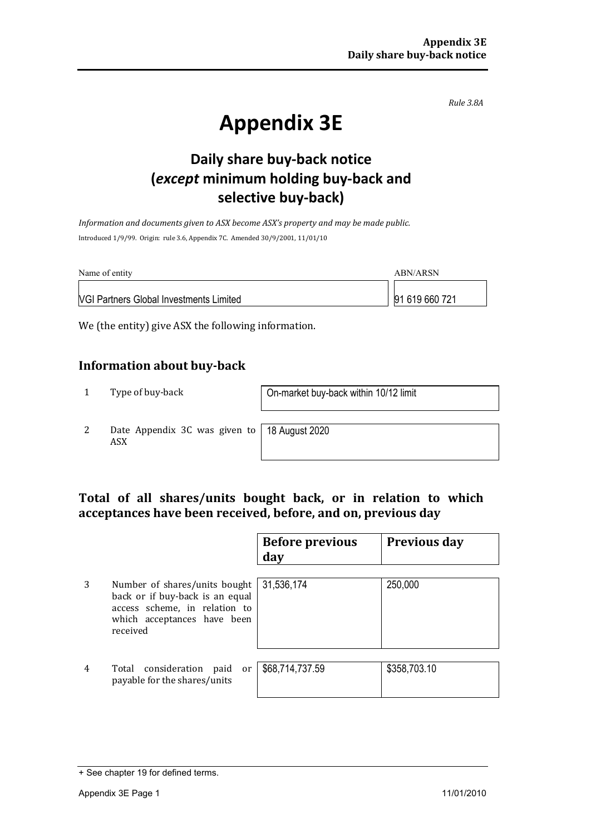*Rule 3.8A*

# **Appendix 3E**

## **Daily share buy-back notice (***except* **minimum holding buy-back and selective buy-back)**

*Information and documents given to ASX become ASX's property and may be made public.* Introduced 1/9/99. Origin: rule 3.6, Appendix 7C. Amended 30/9/2001, 11/01/10

| Name of entity                                 | ABN/ARSN       |
|------------------------------------------------|----------------|
| <b>VGI Partners Global Investments Limited</b> | 91 619 660 721 |

We (the entity) give ASX the following information.

#### **Information about buy-back**

1 Type of buy-back <br> **1** On-market buy-back within 10/12 limit

2 Date Appendix 3C was given to ASX

18 August 2020

#### **Total of all shares/units bought back, or in relation to which acceptances have been received, before, and on, previous day**

|   |                                                                                                                                              | <b>Before previous</b><br>day | <b>Previous day</b> |
|---|----------------------------------------------------------------------------------------------------------------------------------------------|-------------------------------|---------------------|
| 3 | Number of shares/units bought<br>back or if buy-back is an equal<br>access scheme, in relation to<br>which acceptances have been<br>received | 31,536,174                    | 250,000             |
| 4 | Total consideration<br>paid<br>or<br>payable for the shares/units                                                                            | \$68,714,737.59               | \$358,703.10        |

<sup>+</sup> See chapter 19 for defined terms.